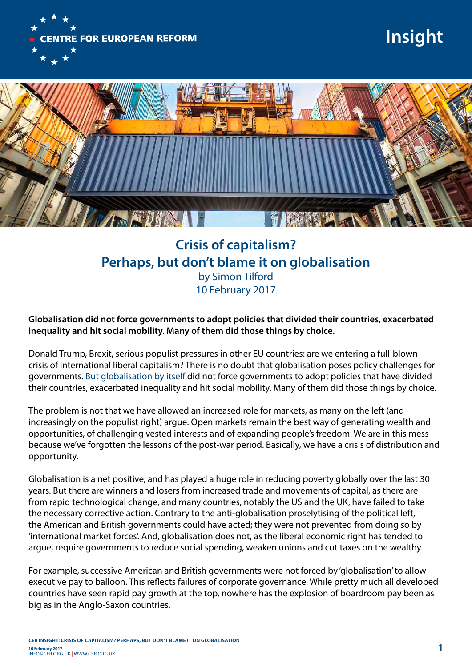

## **Insight**



## **Crisis of capitalism? Perhaps, but don't blame it on globalisation**  by Simon Tilford 10 February 2017

**Globalisation did not force governments to adopt policies that divided their countries, exacerbated inequality and hit social mobility. Many of them did those things by choice.** 

Donald Trump, Brexit, serious populist pressures in other EU countries: are we entering a full-blown crisis of international liberal capitalism? There is no doubt that globalisation poses policy challenges for governments. [But globalisation by itself](http://www.cer.org.uk/publications/archive/report/2016/brexit-and-economics-populism) did not force governments to adopt policies that have divided their countries, exacerbated inequality and hit social mobility. Many of them did those things by choice.

The problem is not that we have allowed an increased role for markets, as many on the left (and increasingly on the populist right) argue. Open markets remain the best way of generating wealth and opportunities, of challenging vested interests and of expanding people's freedom. We are in this mess because we've forgotten the lessons of the post-war period. Basically, we have a crisis of distribution and opportunity.

Globalisation is a net positive, and has played a huge role in reducing poverty globally over the last 30 years. But there are winners and losers from increased trade and movements of capital, as there are from rapid technological change, and many countries, notably the US and the UK, have failed to take the necessary corrective action. Contrary to the anti-globalisation proselytising of the political left, the American and British governments could have acted; they were not prevented from doing so by 'international market forces'. And, globalisation does not, as the liberal economic right has tended to argue, require governments to reduce social spending, weaken unions and cut taxes on the wealthy.

For example, successive American and British governments were not forced by 'globalisation' to allow executive pay to balloon. This reflects failures of corporate governance. While pretty much all developed countries have seen rapid pay growth at the top, nowhere has the explosion of boardroom pay been as big as in the Anglo-Saxon countries.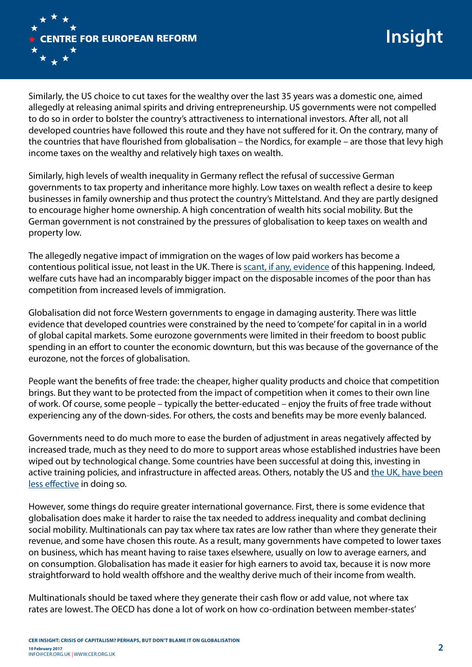

Similarly, the US choice to cut taxes for the wealthy over the last 35 years was a domestic one, aimed allegedly at releasing animal spirits and driving entrepreneurship. US governments were not compelled to do so in order to bolster the country's attractiveness to international investors. After all, not all developed countries have followed this route and they have not suffered for it. On the contrary, many of the countries that have flourished from globalisation – the Nordics, for example – are those that levy high income taxes on the wealthy and relatively high taxes on wealth.

Similarly, high levels of wealth inequality in Germany reflect the refusal of successive German governments to tax property and inheritance more highly. Low taxes on wealth reflect a desire to keep businesses in family ownership and thus protect the country's Mittelstand. And they are partly designed to encourage higher home ownership. A high concentration of wealth hits social mobility. But the German government is not constrained by the pressures of globalisation to keep taxes on wealth and property low.

The allegedly negative impact of immigration on the wages of low paid workers has become a contentious political issue, not least in the UK. There is [scant, if any, evidence](http://www.bankofengland.co.uk/research/Pages/workingpapers/2015/swp574.aspx) of this happening. Indeed, welfare cuts have had an incomparably bigger impact on the disposable incomes of the poor than has competition from increased levels of immigration.

Globalisation did not force Western governments to engage in damaging austerity. There was little evidence that developed countries were constrained by the need to 'compete' for capital in in a world of global capital markets. Some eurozone governments were limited in their freedom to boost public spending in an effort to counter the economic downturn, but this was because of the governance of the eurozone, not the forces of globalisation.

People want the benefits of free trade: the cheaper, higher quality products and choice that competition brings. But they want to be protected from the impact of competition when it comes to their own line of work. Of course, some people – typically the better-educated – enjoy the fruits of free trade without experiencing any of the down-sides. For others, the costs and benefits may be more evenly balanced.

Governments need to do much more to ease the burden of adjustment in areas negatively affected by increased trade, much as they need to do more to support areas whose established industries have been wiped out by technological change. Some countries have been successful at doing this, investing in active training policies, and infrastructure in affected areas. Others, notably the US and [the UK, have been](http://www.cer.org.uk/publications/archive/policy-brief/2016/brexit-britain-poor-man-western-europe) [less effective](http://www.cer.org.uk/publications/archive/policy-brief/2016/brexit-britain-poor-man-western-europe) in doing so.

However, some things do require greater international governance. First, there is some evidence that globalisation does make it harder to raise the tax needed to address inequality and combat declining social mobility. Multinationals can pay tax where tax rates are low rather than where they generate their revenue, and some have chosen this route. As a result, many governments have competed to lower taxes on business, which has meant having to raise taxes elsewhere, usually on low to average earners, and on consumption. Globalisation has made it easier for high earners to avoid tax, because it is now more straightforward to hold wealth offshore and the wealthy derive much of their income from wealth.

Multinationals should be taxed where they generate their cash flow or add value, not where tax rates are lowest. The OECD has done a lot of work on how co-ordination between member-states'